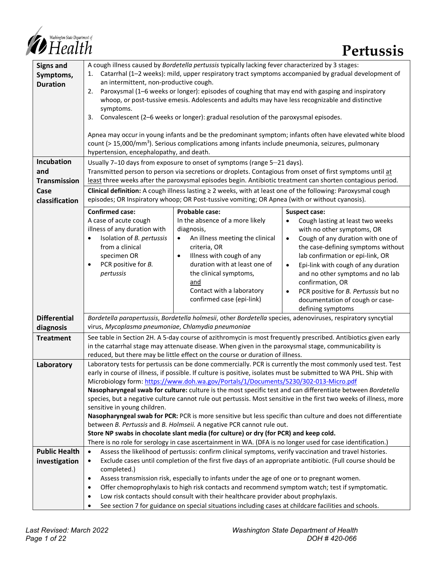

| <b>Signs and</b>     | A cough illness caused by Bordetella pertussis typically lacking fever characterized by 3 stages:                                                                                                                          |                                                                                                             |                                                                                                              |  |  |  |
|----------------------|----------------------------------------------------------------------------------------------------------------------------------------------------------------------------------------------------------------------------|-------------------------------------------------------------------------------------------------------------|--------------------------------------------------------------------------------------------------------------|--|--|--|
| Symptoms,            | 1.                                                                                                                                                                                                                         |                                                                                                             | Catarrhal (1-2 weeks): mild, upper respiratory tract symptoms accompanied by gradual development of          |  |  |  |
| <b>Duration</b>      | an intermittent, non-productive cough.                                                                                                                                                                                     |                                                                                                             |                                                                                                              |  |  |  |
|                      | 2.                                                                                                                                                                                                                         | Paroxysmal (1-6 weeks or longer): episodes of coughing that may end with gasping and inspiratory            |                                                                                                              |  |  |  |
|                      |                                                                                                                                                                                                                            | whoop, or post-tussive emesis. Adolescents and adults may have less recognizable and distinctive            |                                                                                                              |  |  |  |
|                      | symptoms.                                                                                                                                                                                                                  |                                                                                                             |                                                                                                              |  |  |  |
|                      | 3.                                                                                                                                                                                                                         | Convalescent (2-6 weeks or longer): gradual resolution of the paroxysmal episodes.                          |                                                                                                              |  |  |  |
|                      |                                                                                                                                                                                                                            |                                                                                                             |                                                                                                              |  |  |  |
|                      |                                                                                                                                                                                                                            |                                                                                                             | Apnea may occur in young infants and be the predominant symptom; infants often have elevated white blood     |  |  |  |
|                      | count (> 15,000/mm <sup>3</sup> ). Serious complications among infants include pneumonia, seizures, pulmonary<br>hypertension, encephalopathy, and death.                                                                  |                                                                                                             |                                                                                                              |  |  |  |
| Incubation           | Usually 7-10 days from exposure to onset of symptoms (range 5-21 days).                                                                                                                                                    |                                                                                                             |                                                                                                              |  |  |  |
| and                  |                                                                                                                                                                                                                            |                                                                                                             |                                                                                                              |  |  |  |
| <b>Transmission</b>  | Transmitted person to person via secretions or droplets. Contagious from onset of first symptoms until at                                                                                                                  |                                                                                                             |                                                                                                              |  |  |  |
|                      | least three weeks after the paroxysmal episodes begin. Antibiotic treatment can shorten contagious period.<br>Clinical definition: A cough illness lasting ≥ 2 weeks, with at least one of the following: Paroxysmal cough |                                                                                                             |                                                                                                              |  |  |  |
| Case                 |                                                                                                                                                                                                                            |                                                                                                             |                                                                                                              |  |  |  |
| classification       |                                                                                                                                                                                                                            | episodes; OR Inspiratory whoop; OR Post-tussive vomiting; OR Apnea (with or without cyanosis).              |                                                                                                              |  |  |  |
|                      | <b>Confirmed case:</b>                                                                                                                                                                                                     | Probable case:                                                                                              | Suspect case:                                                                                                |  |  |  |
|                      | A case of acute cough                                                                                                                                                                                                      | In the absence of a more likely                                                                             | Cough lasting at least two weeks<br>$\bullet$                                                                |  |  |  |
|                      | illness of any duration with                                                                                                                                                                                               | diagnosis,                                                                                                  | with no other symptoms, OR                                                                                   |  |  |  |
|                      | Isolation of B. pertussis<br>$\bullet$<br>from a clinical                                                                                                                                                                  | An illness meeting the clinical<br>$\bullet$                                                                | Cough of any duration with one of<br>$\bullet$                                                               |  |  |  |
|                      | specimen OR                                                                                                                                                                                                                | criteria, OR                                                                                                | the case-defining symptoms without                                                                           |  |  |  |
|                      | PCR positive for B.<br>$\bullet$                                                                                                                                                                                           | Illness with cough of any<br>$\bullet$<br>duration with at least one of                                     | lab confirmation or epi-link, OR                                                                             |  |  |  |
|                      | pertussis                                                                                                                                                                                                                  | the clinical symptoms,                                                                                      | Epi-link with cough of any duration<br>$\bullet$<br>and no other symptoms and no lab                         |  |  |  |
|                      |                                                                                                                                                                                                                            | and                                                                                                         | confirmation, OR                                                                                             |  |  |  |
|                      |                                                                                                                                                                                                                            | Contact with a laboratory                                                                                   | PCR positive for <i>B. Pertussis</i> but no<br>$\bullet$                                                     |  |  |  |
|                      |                                                                                                                                                                                                                            | confirmed case (epi-link)                                                                                   | documentation of cough or case-                                                                              |  |  |  |
|                      |                                                                                                                                                                                                                            |                                                                                                             | defining symptoms                                                                                            |  |  |  |
| <b>Differential</b>  |                                                                                                                                                                                                                            |                                                                                                             | Bordetella parapertussis, Bordetella holmesii, other Bordetella species, adenoviruses, respiratory syncytial |  |  |  |
| diagnosis            | virus, Mycoplasma pneumoniae, Chlamydia pneumoniae                                                                                                                                                                         |                                                                                                             |                                                                                                              |  |  |  |
| <b>Treatment</b>     |                                                                                                                                                                                                                            |                                                                                                             |                                                                                                              |  |  |  |
|                      | See table in Section 2H. A 5-day course of azithromycin is most frequently prescribed. Antibiotics given early<br>in the catarrhal stage may attenuate disease. When given in the paroxysmal stage, communicability is     |                                                                                                             |                                                                                                              |  |  |  |
|                      |                                                                                                                                                                                                                            | reduced, but there may be little effect on the course or duration of illness.                               |                                                                                                              |  |  |  |
| Laboratory           |                                                                                                                                                                                                                            |                                                                                                             | Laboratory tests for pertussis can be done commercially. PCR is currently the most commonly used test. Test  |  |  |  |
|                      | early in course of illness, if possible. If culture is positive, isolates must be submitted to WA PHL. Ship with                                                                                                           |                                                                                                             |                                                                                                              |  |  |  |
|                      |                                                                                                                                                                                                                            | Microbiology form: https://www.doh.wa.gov/Portals/1/Documents/5230/302-013-Micro.pdf                        |                                                                                                              |  |  |  |
|                      | Nasopharyngeal swab for culture: culture is the most specific test and can differentiate between Bordetella                                                                                                                |                                                                                                             |                                                                                                              |  |  |  |
|                      | species, but a negative culture cannot rule out pertussis. Most sensitive in the first two weeks of illness, more                                                                                                          |                                                                                                             |                                                                                                              |  |  |  |
|                      | sensitive in young children.                                                                                                                                                                                               |                                                                                                             | Nasopharyngeal swab for PCR: PCR is more sensitive but less specific than culture and does not differentiate |  |  |  |
|                      |                                                                                                                                                                                                                            | between B. Pertussis and B. Holmseii. A negative PCR cannot rule out.                                       |                                                                                                              |  |  |  |
|                      |                                                                                                                                                                                                                            | Store NP swabs in chocolate slant media (for culture) or dry (for PCR) and keep cold.                       |                                                                                                              |  |  |  |
|                      |                                                                                                                                                                                                                            | There is no role for serology in case ascertainment in WA. (DFA is no longer used for case identification.) |                                                                                                              |  |  |  |
| <b>Public Health</b> | $\bullet$                                                                                                                                                                                                                  | Assess the likelihood of pertussis: confirm clinical symptoms, verify vaccination and travel histories.     |                                                                                                              |  |  |  |
| investigation        | ٠                                                                                                                                                                                                                          |                                                                                                             |                                                                                                              |  |  |  |
|                      | Exclude cases until completion of the first five days of an appropriate antibiotic. (Full course should be<br>completed.)                                                                                                  |                                                                                                             |                                                                                                              |  |  |  |
|                      | Assess transmission risk, especially to infants under the age of one or to pregnant women.<br>٠                                                                                                                            |                                                                                                             |                                                                                                              |  |  |  |
|                      | Offer chemoprophylaxis to high risk contacts and recommend symptom watch; test if symptomatic.<br>$\bullet$                                                                                                                |                                                                                                             |                                                                                                              |  |  |  |
|                      | Low risk contacts should consult with their healthcare provider about prophylaxis.<br>$\bullet$                                                                                                                            |                                                                                                             |                                                                                                              |  |  |  |
|                      | See section 7 for guidance on special situations including cases at childcare facilities and schools.<br>$\bullet$                                                                                                         |                                                                                                             |                                                                                                              |  |  |  |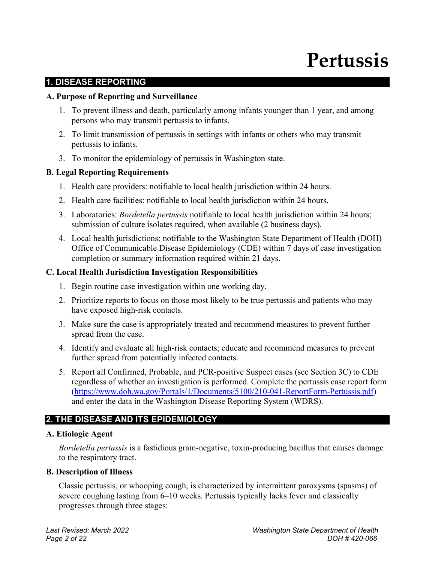# **Pertussis**

## **1. DISEASE REPORTING**

#### **A. Purpose of Reporting and Surveillance**

- 1. To prevent illness and death, particularly among infants younger than 1 year, and among persons who may transmit pertussis to infants.
- 2. To limit transmission of pertussis in settings with infants or others who may transmit pertussis to infants.
- 3. To monitor the epidemiology of pertussis in Washington state.

## **B. Legal Reporting Requirements**

- 1. Health care providers: notifiable to local health jurisdiction within 24 hours.
- 2. Health care facilities: notifiable to local health jurisdiction within 24 hours.
- 3. Laboratories: *Bordetella pertussis* notifiable to local health jurisdiction within 24 hours; submission of culture isolates required, when available (2 business days).
- 4. Local health jurisdictions: notifiable to the Washington State Department of Health (DOH) Office of Communicable Disease Epidemiology (CDE) within 7 days of case investigation completion or summary information required within 21 days.

## **C. Local Health Jurisdiction Investigation Responsibilities**

- 1. Begin routine case investigation within one working day.
- 2. Prioritize reports to focus on those most likely to be true pertussis and patients who may have exposed high-risk contacts.
- 3. Make sure the case is appropriately treated and recommend measures to prevent further spread from the case.
- 4. Identify and evaluate all high-risk contacts; educate and recommend measures to prevent further spread from potentially infected contacts.
- 5. Report all Confirmed, Probable, and PCR-positive Suspect cases (see Section 3C) to CDE regardless of whether an investigation is performed. Complete the pertussis case report form [\(https://www.doh.wa.gov/Portals/1/Documents/5100/210-041-ReportForm-Pertussis.pdf\)](https://www.doh.wa.gov/Portals/1/Documents/5100/210-041-ReportForm-Pertussis.pdf) and enter the data in the Washington Disease Reporting System (WDRS).

# **2. THE DISEASE AND ITS EPIDEMIOLOGY**

## **A. Etiologic Agent**

*Bordetella pertussis* is a fastidious gram-negative, toxin-producing bacillus that causes damage to the respiratory tract.

## **B. Description of Illness**

Classic pertussis, or whooping cough, is characterized by intermittent paroxysms (spasms) of severe coughing lasting from 6–10 weeks. Pertussis typically lacks fever and classically progresses through three stages: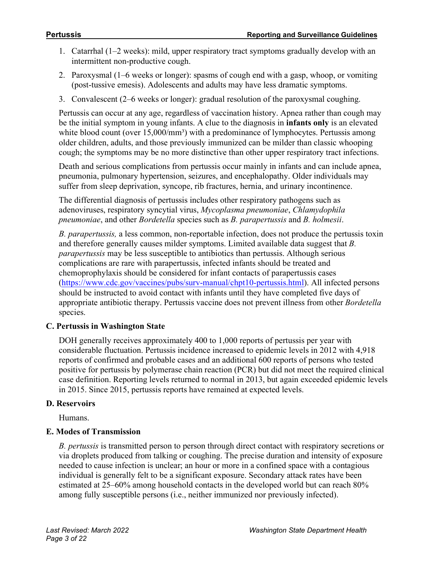- 1. Catarrhal (1–2 weeks): mild, upper respiratory tract symptoms gradually develop with an intermittent non-productive cough.
- 2. Paroxysmal (1–6 weeks or longer): spasms of cough end with a gasp, whoop, or vomiting (post-tussive emesis). Adolescents and adults may have less dramatic symptoms.
- 3. Convalescent (2–6 weeks or longer): gradual resolution of the paroxysmal coughing.

Pertussis can occur at any age, regardless of vaccination history. Apnea rather than cough may be the initial symptom in young infants. A clue to the diagnosis in **infants only** is an elevated white blood count (over 15,000/mm<sup>3</sup>) with a predominance of lymphocytes. Pertussis among older children, adults, and those previously immunized can be milder than classic whooping cough; the symptoms may be no more distinctive than other upper respiratory tract infections.

Death and serious complications from pertussis occur mainly in infants and can include apnea, pneumonia, pulmonary hypertension, seizures, and encephalopathy. Older individuals may suffer from sleep deprivation, syncope, rib fractures, hernia, and urinary incontinence.

The differential diagnosis of pertussis includes other respiratory pathogens such as adenoviruses, respiratory syncytial virus, *Mycoplasma pneumoniae*, *Chlamydophila pneumoniae*, and other *Bordetella* species such as *B. parapertussis* and *B. holmesii*.

*B. parapertussis,* a less common, non-reportable infection, does not produce the pertussis toxin and therefore generally causes milder symptoms. Limited available data suggest that *B. parapertussis* may be less susceptible to antibiotics than pertussis. Although serious complications are rare with parapertussis, infected infants should be treated and chemoprophylaxis should be considered for infant contacts of parapertussis cases [\(https://www.cdc.gov/vaccines/pubs/surv-manual/chpt10-pertussis.html\)](https://www.cdc.gov/vaccines/pubs/surv-manual/chpt10-pertussis.html). All infected persons should be instructed to avoid contact with infants until they have completed five days of appropriate antibiotic therapy. Pertussis vaccine does not prevent illness from other *Bordetella* species.

## **C. Pertussis in Washington State**

DOH generally receives approximately 400 to 1,000 reports of pertussis per year with considerable fluctuation. Pertussis incidence increased to epidemic levels in 2012 with 4,918 reports of confirmed and probable cases and an additional 600 reports of persons who tested positive for pertussis by polymerase chain reaction (PCR) but did not meet the required clinical case definition. Reporting levels returned to normal in 2013, but again exceeded epidemic levels in 2015. Since 2015, pertussis reports have remained at expected levels.

## **D. Reservoirs**

Humans.

# **E. Modes of Transmission**

*B. pertussis* is transmitted person to person through direct contact with respiratory secretions or via droplets produced from talking or coughing. The precise duration and intensity of exposure needed to cause infection is unclear; an hour or more in a confined space with a contagious individual is generally felt to be a significant exposure. Secondary attack rates have been estimated at 25–60% among household contacts in the developed world but can reach 80% among fully susceptible persons (i.e., neither immunized nor previously infected).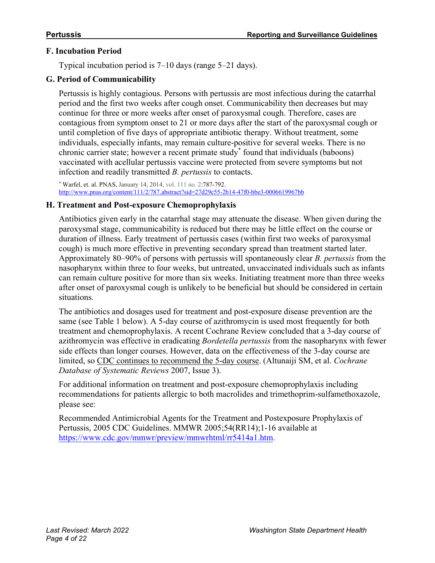#### **F. Incubation Period**

Typical incubation period is 7–10 days (range 5–21 days).

# **G. Period of Communicability**

Pertussis is highly contagious. Persons with pertussis are most infectious during the catarrhal period and the first two weeks after cough onset. Communicability then decreases but may continue for three or more weeks after onset of paroxysmal cough. Therefore, cases are contagious from symptom onset to 21 or more days after the start of the paroxysmal cough or until completion of five days of appropriate antibiotic therapy. Without treatment, some individuals, especially infants, may remain culture-positive for several weeks. There is no chronic carrier state; however a recent primate study\* found that individuals (baboons) vaccinated with acellular pertussis vaccine were protected from severe symptoms but not infection and readily transmitted *B. pertussis* to contacts.

\* Warfel, et. al. PNAS, January 14, 2014, vol. 111 no. 2:787-792. <http://www.pnas.org/content/111/2/787.abstract?sid=27d29c55-2b14-47f0-bbe3-0006619967bb>

## **H. Treatment and Post-exposure Chemoprophylaxis**

Antibiotics given early in the catarrhal stage may attenuate the disease. When given during the paroxysmal stage, communicability is reduced but there may be little effect on the course or duration of illness. Early treatment of pertussis cases (within first two weeks of paroxysmal cough) is much more effective in preventing secondary spread than treatment started later. Approximately 80–90% of persons with pertussis will spontaneously clear *B. pertussis* from the nasopharynx within three to four weeks, but untreated, unvaccinated individuals such as infants can remain culture positive for more than six weeks. Initiating treatment more than three weeks after onset of paroxysmal cough is unlikely to be beneficial but should be considered in certain situations.

The antibiotics and dosages used for treatment and post-exposure disease prevention are the same (see Table 1 below). A 5-day course of azithromycin is used most frequently for both treatment and chemoprophylaxis. A recent Cochrane Review concluded that a 3-day course of azithromycin was effective in eradicating *Bordetella pertussis* from the nasopharynx with fewer side effects than longer courses. However, data on the effectiveness of the 3-day course are limited, so CDC continues to recommend the 5-day course. (Altunaiji SM, et al. *Cochrane Database of Systematic Reviews* 2007, Issue 3).

For additional information on treatment and post-exposure chemoprophylaxis including recommendations for patients allergic to both macrolides and trimethoprim-sulfamethoxazole, please see:

Recommended Antimicrobial Agents for the Treatment and Postexposure Prophylaxis of Pertussis, 2005 CDC Guidelines. MMWR 2005;54(RR14);1-16 available at [https://www.cdc.gov/mmwr/preview/mmwrhtml/rr5414a1.htm.](https://www.cdc.gov/mmwr/preview/mmwrhtml/rr5414a1.htm)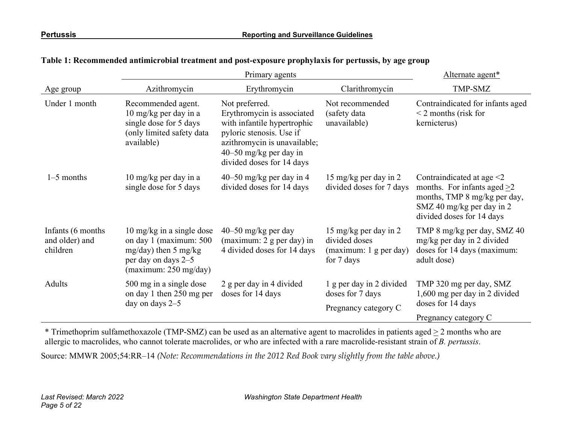|                                                  | Primary agents                                                                                                                                     |                                                                                                                                                                                                  |                                                                                | Alternate agent*                                                                                                                                           |  |
|--------------------------------------------------|----------------------------------------------------------------------------------------------------------------------------------------------------|--------------------------------------------------------------------------------------------------------------------------------------------------------------------------------------------------|--------------------------------------------------------------------------------|------------------------------------------------------------------------------------------------------------------------------------------------------------|--|
| Age group                                        | Azithromycin                                                                                                                                       | Erythromycin                                                                                                                                                                                     | Clarithromycin                                                                 | TMP-SMZ                                                                                                                                                    |  |
| Under 1 month                                    | Recommended agent.<br>$10 \text{ mg/kg}$ per day in a<br>single dose for 5 days<br>(only limited safety data<br>available)                         | Not preferred.<br>Erythromycin is associated<br>with infantile hypertrophic<br>pyloric stenosis. Use if<br>azithromycin is unavailable;<br>$40-50$ mg/kg per day in<br>divided doses for 14 days | Not recommended<br>(safety data<br>unavailable)                                | Contraindicated for infants aged<br>$\leq$ 2 months (risk for<br>kernicterus)                                                                              |  |
| $1-5$ months                                     | $10 \text{ mg/kg}$ per day in a<br>single dose for 5 days                                                                                          | 40–50 mg/kg per day in 4<br>divided doses for 14 days                                                                                                                                            | 15 mg/kg per day in 2<br>divided doses for 7 days                              | Contraindicated at age $\leq$ 2<br>months. For infants aged $>2$<br>months, TMP 8 mg/kg per day,<br>SMZ 40 mg/kg per day in 2<br>divided doses for 14 days |  |
| Infants (6 months)<br>and older) and<br>children | $10 \text{ mg/kg}$ in a single dose<br>on day 1 (maximum: 500<br>$mg/day)$ then 5 mg/kg<br>per day on days 2-5<br>(maximum: $250 \text{ mg/day}$ ) | $40-50$ mg/kg per day<br>(maximum: $2$ g per day) in<br>4 divided doses for 14 days                                                                                                              | 15 mg/kg per day in 2<br>divided doses<br>(maximum: 1 g per day)<br>for 7 days | TMP 8 mg/kg per day, SMZ 40<br>mg/kg per day in 2 divided<br>doses for 14 days (maximum:<br>adult dose)                                                    |  |
| Adults                                           | 500 mg in a single dose<br>on day 1 then 250 mg per<br>day on days $2-5$                                                                           | 2 g per day in 4 divided<br>doses for 14 days                                                                                                                                                    | 1 g per day in 2 divided<br>doses for 7 days<br>Pregnancy category C           | TMP 320 mg per day, SMZ<br>1,600 mg per day in 2 divided<br>doses for 14 days<br>Pregnancy category C                                                      |  |

#### **Table 1: Recommended antimicrobial treatment and post-exposure prophylaxis for pertussis, by age group**

\* Trimethoprim sulfamethoxazole (TMP-SMZ) can be used as an alternative agent to macrolides in patients aged  $\geq 2$  months who are allergic to macrolides, who cannot tolerate macrolides, or who are infected with a rare macrolide-resistant strain of *B. pertussis*.

Source: MMWR 2005;54:RR–14 *(Note: Recommendations in the 2012 Red Book vary slightly from the table above.)*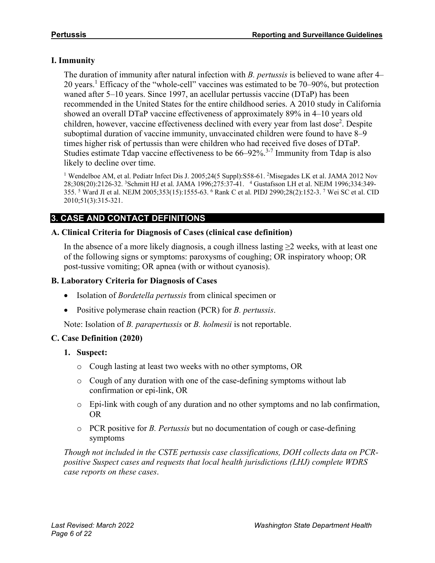# **I. Immunity**

The duration of immunity after natural infection with *B. pertussis* is believed to wane after 4– 20 years.<sup>1</sup> Efficacy of the "whole-cell" vaccines was estimated to be 70–90%, but protection waned after 5–10 years. Since 1997, an acellular pertussis vaccine (DTaP) has been recommended in the United States for the entire childhood series. A 2010 study in California showed an overall DTaP vaccine effectiveness of approximately 89% in 4–10 years old children, however, vaccine effectiveness declined with every year from last dose<sup>2</sup>. Despite suboptimal duration of vaccine immunity, unvaccinated children were found to have 8–9 times higher risk of pertussis than were children who had received five doses of DTaP. Studies estimate Tdap vaccine effectiveness to be 66–92%.<sup>3-7</sup> Immunity from Tdap is also likely to decline over time.

<sup>1</sup> Wendelboe AM, et al. Pediatr Infect Dis J. 2005;24(5 Suppl):S58-61. <sup>2</sup>Misegades LK et al. JAMA 2012 Nov 28;308(20):2126-32. <sup>3</sup>Schmitt HJ et al. JAMA 1996;275:37-41. <sup>4</sup> Gustafsson LH et al. NEJM 1996;334:349-355. <sup>5</sup> Ward JI et al. NEJM 2005;353(15):1555-63. <sup>6</sup> Rank C et al. PIDJ 2990;28(2):152-3. <sup>7</sup> Wei SC et al. CID 2010;51(3):315-321.

# **3. CASE AND CONTACT DEFINITIONS**

## **A. Clinical Criteria for Diagnosis of Cases (clinical case definition)**

In the absence of a more likely diagnosis, a cough illness lasting  $\geq$  weeks, with at least one of the following signs or symptoms: paroxysms of coughing; OR inspiratory whoop; OR post-tussive vomiting; OR apnea (with or without cyanosis).

#### **B. Laboratory Criteria for Diagnosis of Cases**

- Isolation of *Bordetella pertussis* from clinical specimen or
- Positive polymerase chain reaction (PCR) for *B. pertussis*.

Note: Isolation of *B. parapertussis* or *B. holmesii* is not reportable.

## **C. Case Definition (2020)**

- **1. Suspect:**
	- o Cough lasting at least two weeks with no other symptoms, OR
	- o Cough of any duration with one of the case-defining symptoms without lab confirmation or epi-link, OR
	- o Epi-link with cough of any duration and no other symptoms and no lab confirmation, OR
	- o PCR positive for *B. Pertussis* but no documentation of cough or case-defining symptoms

*Though not included in the CSTE pertussis case classifications, DOH collects data on PCRpositive Suspect cases and requests that local health jurisdictions (LHJ) complete WDRS case reports on these cases*.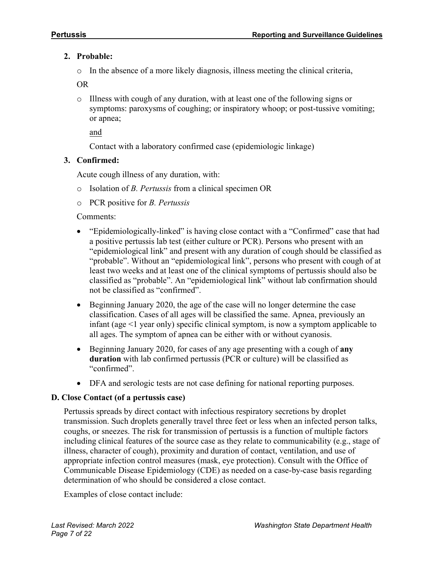# **2. Probable:**

o In the absence of a more likely diagnosis, illness meeting the clinical criteria,

OR

o Illness with cough of any duration, with at least one of the following signs or symptoms: paroxysms of coughing; or inspiratory whoop; or post-tussive vomiting; or apnea;

and

Contact with a laboratory confirmed case (epidemiologic linkage)

# **3. Confirmed:**

Acute cough illness of any duration, with:

- o Isolation of *B. Pertussis* from a clinical specimen OR
- o PCR positive for *B. Pertussis*

Comments:

- "Epidemiologically-linked" is having close contact with a "Confirmed" case that had a positive pertussis lab test (either culture or PCR). Persons who present with an "epidemiological link" and present with any duration of cough should be classified as "probable". Without an "epidemiological link", persons who present with cough of at least two weeks and at least one of the clinical symptoms of pertussis should also be classified as "probable". An "epidemiological link" without lab confirmation should not be classified as "confirmed".
- Beginning January 2020, the age of the case will no longer determine the case classification. Cases of all ages will be classified the same. Apnea, previously an infant (age <1 year only) specific clinical symptom, is now a symptom applicable to all ages. The symptom of apnea can be either with or without cyanosis.
- Beginning January 2020, for cases of any age presenting with a cough of **any duration** with lab confirmed pertussis (PCR or culture) will be classified as "confirmed".
- DFA and serologic tests are not case defining for national reporting purposes.

## **D. Close Contact (of a pertussis case)**

Pertussis spreads by direct contact with infectious respiratory secretions by droplet transmission. Such droplets generally travel three feet or less when an infected person talks, coughs, or sneezes. The risk for transmission of pertussis is a function of multiple factors including clinical features of the source case as they relate to communicability (e.g., stage of illness, character of cough), proximity and duration of contact, ventilation, and use of appropriate infection control measures (mask, eye protection). Consult with the Office of Communicable Disease Epidemiology (CDE) as needed on a case-by-case basis regarding determination of who should be considered a close contact.

Examples of close contact include: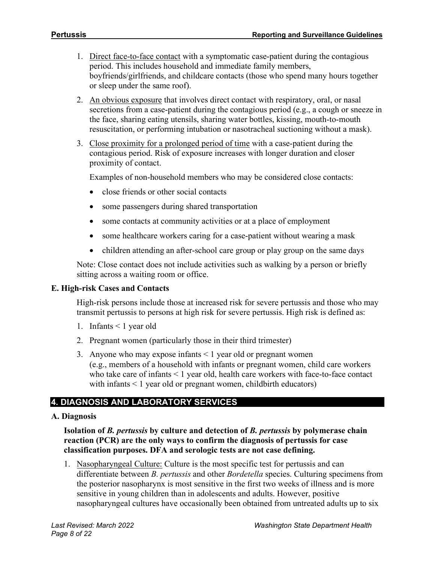- 1. Direct face-to-face contact with a symptomatic case-patient during the contagious period. This includes household and immediate family members, boyfriends/girlfriends, and childcare contacts (those who spend many hours together or sleep under the same roof).
- 2. An obvious exposure that involves direct contact with respiratory, oral, or nasal secretions from a case-patient during the contagious period (e.g., a cough or sneeze in the face, sharing eating utensils, sharing water bottles, kissing, mouth-to-mouth resuscitation, or performing intubation or nasotracheal suctioning without a mask).
- 3. Close proximity for a prolonged period of time with a case-patient during the contagious period. Risk of exposure increases with longer duration and closer proximity of contact.

Examples of non-household members who may be considered close contacts:

- close friends or other social contacts
- some passengers during shared transportation
- some contacts at community activities or at a place of employment
- some healthcare workers caring for a case-patient without wearing a mask
- children attending an after-school care group or play group on the same days

Note: Close contact does not include activities such as walking by a person or briefly sitting across a waiting room or office.

#### **E. High-risk Cases and Contacts**

High-risk persons include those at increased risk for severe pertussis and those who may transmit pertussis to persons at high risk for severe pertussis. High risk is defined as:

- 1. Infants < 1 year old
- 2. Pregnant women (particularly those in their third trimester)
- 3. Anyone who may expose infants < 1 year old or pregnant women (e.g., members of a household with infants or pregnant women, child care workers who take care of infants < 1 year old, health care workers with face-to-face contact with infants  $\leq 1$  year old or pregnant women, childbirth educators)

## **4. DIAGNOSIS AND LABORATORY SERVICES**

#### **A. Diagnosis**

**Isolation of** *B. pertussis* **by culture and detection of** *B. pertussis* **by polymerase chain reaction (PCR) are the only ways to confirm the diagnosis of pertussis for case classification purposes. DFA and serologic tests are not case defining.**

1. Nasopharyngeal Culture: Culture is the most specific test for pertussis and can differentiate between *B. pertussis* and other *Bordetella* species. Culturing specimens from the posterior nasopharynx is most sensitive in the first two weeks of illness and is more sensitive in young children than in adolescents and adults. However, positive nasopharyngeal cultures have occasionally been obtained from untreated adults up to six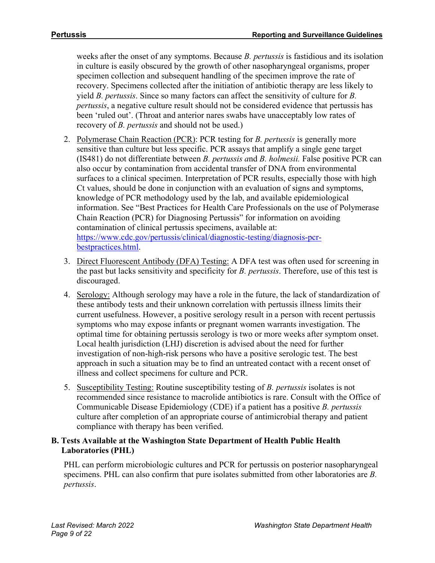weeks after the onset of any symptoms. Because *B. pertussis* is fastidious and its isolation in culture is easily obscured by the growth of other nasopharyngeal organisms, proper specimen collection and subsequent handling of the specimen improve the rate of recovery. Specimens collected after the initiation of antibiotic therapy are less likely to yield *B. pertussis*. Since so many factors can affect the sensitivity of culture for *B. pertussis*, a negative culture result should not be considered evidence that pertussis has been 'ruled out'. (Throat and anterior nares swabs have unacceptably low rates of recovery of *B. pertussis* and should not be used.)

- 2. Polymerase Chain Reaction (PCR): PCR testing for *B. pertussis* is generally more sensitive than culture but less specific. PCR assays that amplify a single gene target (IS481) do not differentiate between *B. pertussis a*nd *B. holmesii.* False positive PCR can also occur by contamination from accidental transfer of DNA from environmental surfaces to a clinical specimen. Interpretation of PCR results, especially those with high Ct values, should be done in conjunction with an evaluation of signs and symptoms, knowledge of PCR methodology used by the lab, and available epidemiological information. See "Best Practices for Health Care Professionals on the use of Polymerase Chain Reaction (PCR) for Diagnosing Pertussis" for information on avoiding contamination of clinical pertussis specimens, available at: [https://www.cdc.gov/pertussis/clinical/diagnostic-testing/diagnosis-pcr](https://www.cdc.gov/pertussis/clinical/diagnostic-testing/diagnosis-pcr-bestpractices.html)[bestpractices.html.](https://www.cdc.gov/pertussis/clinical/diagnostic-testing/diagnosis-pcr-bestpractices.html)
- 3. Direct Fluorescent Antibody (DFA) Testing: A DFA test was often used for screening in the past but lacks sensitivity and specificity for *B. pertussis*. Therefore, use of this test is discouraged.
- 4. Serology: Although serology may have a role in the future, the lack of standardization of these antibody tests and their unknown correlation with pertussis illness limits their current usefulness. However, a positive serology result in a person with recent pertussis symptoms who may expose infants or pregnant women warrants investigation. The optimal time for obtaining pertussis serology is two or more weeks after symptom onset. Local health jurisdiction (LHJ) discretion is advised about the need for further investigation of non-high-risk persons who have a positive serologic test. The best approach in such a situation may be to find an untreated contact with a recent onset of illness and collect specimens for culture and PCR.
- 5. Susceptibility Testing: Routine susceptibility testing of *B. pertussis* isolates is not recommended since resistance to macrolide antibiotics is rare. Consult with the Office of Communicable Disease Epidemiology (CDE) if a patient has a positive *B. pertussis* culture after completion of an appropriate course of antimicrobial therapy and patient compliance with therapy has been verified.

## **B. Tests Available at the Washington State Department of Health Public Health Laboratories (PHL)**

PHL can perform microbiologic cultures and PCR for pertussis on posterior nasopharyngeal specimens. PHL can also confirm that pure isolates submitted from other laboratories are *B. pertussis*.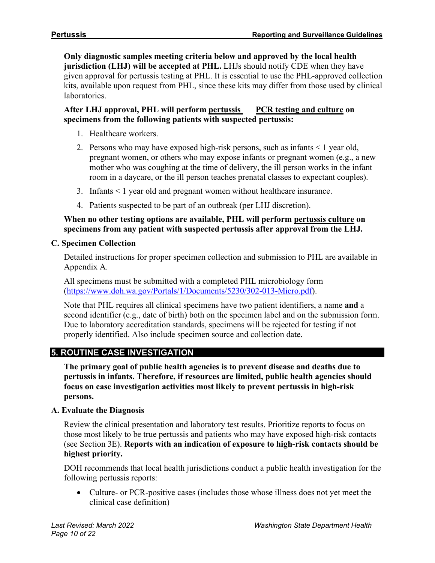**Only diagnostic samples meeting criteria below and approved by the local health jurisdiction (LHJ) will be accepted at PHL.** LHJs should notify CDE when they have given approval for pertussis testing at PHL. It is essential to use the PHL-approved collection kits, available upon request from PHL, since these kits may differ from those used by clinical laboratories.

## **After LHJ approval, PHL will perform pertussis PCR testing and culture on specimens from the following patients with suspected pertussis:**

- 1. Healthcare workers.
- 2. Persons who may have exposed high-risk persons, such as infants < 1 year old, pregnant women, or others who may expose infants or pregnant women (e.g., a new mother who was coughing at the time of delivery, the ill person works in the infant room in a daycare, or the ill person teaches prenatal classes to expectant couples).
- 3. Infants < 1 year old and pregnant women without healthcare insurance.
- 4. Patients suspected to be part of an outbreak (per LHJ discretion).

#### **When no other testing options are available, PHL will perform pertussis culture on specimens from any patient with suspected pertussis after approval from the LHJ.**

## **C. Specimen Collection**

Detailed instructions for proper specimen collection and submission to PHL are available in Appendix A.

All specimens must be submitted with a completed PHL microbiology form [\(https://www.doh.wa.gov/Portals/1/Documents/5230/302-013-Micro.pdf\)](https://www.doh.wa.gov/Portals/1/Documents/5230/302-013-Micro.pdf).

Note that PHL requires all clinical specimens have two patient identifiers, a name **and** a second identifier (e.g., date of birth) both on the specimen label and on the submission form. Due to laboratory accreditation standards, specimens will be rejected for testing if not properly identified. Also include specimen source and collection date.

# **5. ROUTINE CASE INVESTIGATION**

**The primary goal of public health agencies is to prevent disease and deaths due to pertussis in infants. Therefore, if resources are limited, public health agencies should focus on case investigation activities most likely to prevent pertussis in high-risk persons.**

## **A. Evaluate the Diagnosis**

Review the clinical presentation and laboratory test results. Prioritize reports to focus on those most likely to be true pertussis and patients who may have exposed high-risk contacts (see Section 3E). **Reports with an indication of exposure to high-risk contacts should be highest priority.**

DOH recommends that local health jurisdictions conduct a public health investigation for the following pertussis reports:

• Culture- or PCR-positive cases (includes those whose illness does not yet meet the clinical case definition)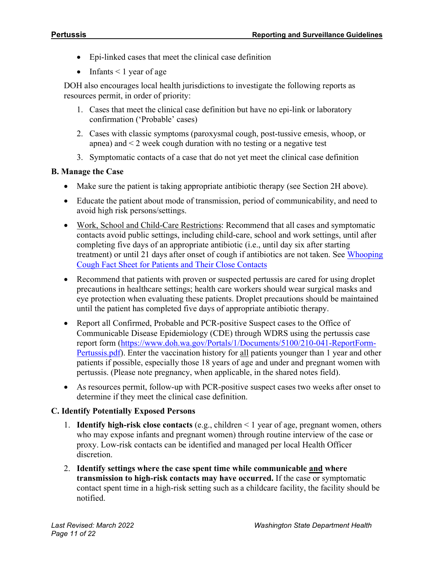- Epi-linked cases that meet the clinical case definition
- Infants  $\leq 1$  year of age

DOH also encourages local health jurisdictions to investigate the following reports as resources permit, in order of priority:

- 1. Cases that meet the clinical case definition but have no epi-link or laboratory confirmation ('Probable' cases)
- 2. Cases with classic symptoms (paroxysmal cough, post-tussive emesis, whoop, or apnea) and  $\leq$  2 week cough duration with no testing or a negative test
- 3. Symptomatic contacts of a case that do not yet meet the clinical case definition

## **B. Manage the Case**

- Make sure the patient is taking appropriate antibiotic therapy (see Section 2H above).
- Educate the patient about mode of transmission, period of communicability, and need to avoid high risk persons/settings.
- Work, School and Child-Care Restrictions: Recommend that all cases and symptomatic contacts avoid public settings, including child-care, school and work settings, until after completing five days of an appropriate antibiotic (i.e., until day six after starting treatment) or until 21 days after onset of cough if antibiotics are not taken. See [Whooping](https://www.doh.wa.gov/Portals/1/Documents/5100/420-091-Fact-WhoopingCoughPatients.pdf)  [Cough Fact Sheet for Patients and Their Close Contacts](https://www.doh.wa.gov/Portals/1/Documents/5100/420-091-Fact-WhoopingCoughPatients.pdf)
- Recommend that patients with proven or suspected pertussis are cared for using droplet precautions in healthcare settings; health care workers should wear surgical masks and eye protection when evaluating these patients. Droplet precautions should be maintained until the patient has completed five days of appropriate antibiotic therapy.
- Report all Confirmed, Probable and PCR-positive Suspect cases to the Office of Communicable Disease Epidemiology (CDE) through WDRS using the pertussis case report form [\(https://www.doh.wa.gov/Portals/1/Documents/5100/210-041-ReportForm-](https://www.doh.wa.gov/Portals/1/Documents/5100/210-041-ReportForm-Pertussis.pdf)[Pertussis.pdf\)](https://www.doh.wa.gov/Portals/1/Documents/5100/210-041-ReportForm-Pertussis.pdf). Enter the vaccination history for all patients younger than 1 year and other patients if possible, especially those 18 years of age and under and pregnant women with pertussis. (Please note pregnancy, when applicable, in the shared notes field).
- As resources permit, follow-up with PCR-positive suspect cases two weeks after onset to determine if they meet the clinical case definition.

# **C. Identify Potentially Exposed Persons**

- 1. **Identify high-risk close contacts** (e.g., children < 1 year of age, pregnant women, others who may expose infants and pregnant women) through routine interview of the case or proxy. Low-risk contacts can be identified and managed per local Health Officer discretion.
- 2. **Identify settings where the case spent time while communicable and where transmission to high-risk contacts may have occurred.** If the case or symptomatic contact spent time in a high-risk setting such as a childcare facility, the facility should be notified.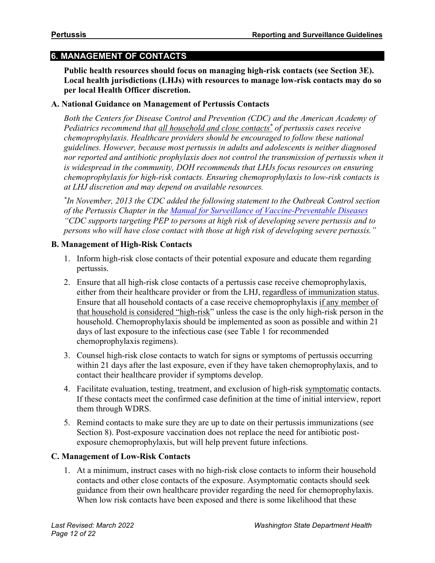# **6. MANAGEMENT OF CONTACTS**

**Public health resources should focus on managing high-risk contacts (see Section 3E). Local health jurisdictions (LHJs) with resources to manage low-risk contacts may do so per local Health Officer discretion.**

#### **A. National Guidance on Management of Pertussis Contacts**

*Both the Centers for Disease Control and Prevention (CDC) and the American Academy of Pediatrics recommend that all household and close contacts\* of pertussis cases receive chemoprophylaxis. Healthcare providers should be encouraged to follow these national guidelines. However, because most pertussis in adults and adolescents is neither diagnosed*  nor reported and antibiotic prophylaxis does not control the transmission of pertussis when it *is widespread in the community, DOH recommends that LHJs focus resources on ensuring chemoprophylaxis for high-risk contacts. Ensuring chemoprophylaxis to low-risk contacts is at LHJ discretion and may depend on available resources.*

*\*In November, 2013 the CDC added the following statement to the Outbreak Control section of the Pertussis Chapter in the [Manual for Surveillance of Vaccine-Preventable Diseases](https://www.cdc.gov/vaccines/pubs/surv-manual/chpt10-pertussis.html) "CDC supports targeting PEP to persons at high risk of developing severe pertussis and to persons who will have close contact with those at high risk of developing severe pertussis."*

## **B. Management of High-Risk Contacts**

- 1. Inform high-risk close contacts of their potential exposure and educate them regarding pertussis.
- 2. Ensure that all high-risk close contacts of a pertussis case receive chemoprophylaxis, either from their healthcare provider or from the LHJ, regardless of immunization status. Ensure that all household contacts of a case receive chemoprophylaxis if any member of that household is considered "high-risk" unless the case is the only high-risk person in the household. Chemoprophylaxis should be implemented as soon as possible and within 21 days of last exposure to the infectious case (see Table 1 for recommended chemoprophylaxis regimens).
- 3. Counsel high-risk close contacts to watch for signs or symptoms of pertussis occurring within 21 days after the last exposure, even if they have taken chemoprophylaxis, and to contact their healthcare provider if symptoms develop.
- 4. Facilitate evaluation, testing, treatment, and exclusion of high-risk symptomatic contacts. If these contacts meet the confirmed case definition at the time of initial interview, report them through WDRS.
- 5. Remind contacts to make sure they are up to date on their pertussis immunizations (see Section 8). Post-exposure vaccination does not replace the need for antibiotic postexposure chemoprophylaxis, but will help prevent future infections.

## **C. Management of Low-Risk Contacts**

1. At a minimum, instruct cases with no high-risk close contacts to inform their household contacts and other close contacts of the exposure. Asymptomatic contacts should seek guidance from their own healthcare provider regarding the need for chemoprophylaxis. When low risk contacts have been exposed and there is some likelihood that these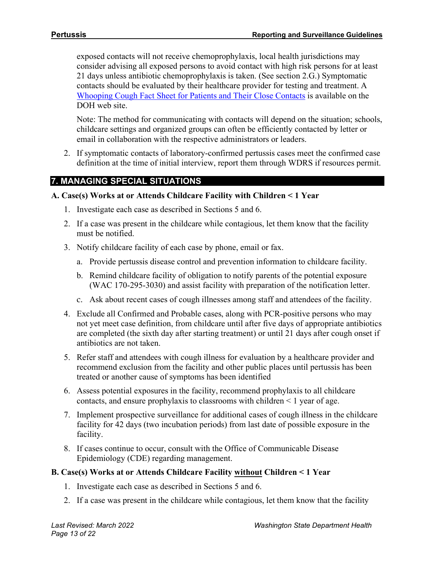exposed contacts will not receive chemoprophylaxis, local health jurisdictions may consider advising all exposed persons to avoid contact with high risk persons for at least 21 days unless antibiotic chemoprophylaxis is taken. (See section 2.G.) Symptomatic contacts should be evaluated by their healthcare provider for testing and treatment. A [Whooping Cough Fact Sheet for Patients and Their Close Contacts](https://www.doh.wa.gov/Portals/1/Documents/5100/420-091-Fact-WhoopingCoughPatients.pdf) is available on the DOH web site.

Note: The method for communicating with contacts will depend on the situation; schools, childcare settings and organized groups can often be efficiently contacted by letter or email in collaboration with the respective administrators or leaders.

2. If symptomatic contacts of laboratory-confirmed pertussis cases meet the confirmed case definition at the time of initial interview, report them through WDRS if resources permit.

# **7. MANAGING SPECIAL SITUATIONS**

#### **A. Case(s) Works at or Attends Childcare Facility with Children < 1 Year**

- 1. Investigate each case as described in Sections 5 and 6.
- 2. If a case was present in the childcare while contagious, let them know that the facility must be notified.
- 3. Notify childcare facility of each case by phone, email or fax.
	- a. Provide pertussis disease control and prevention information to childcare facility.
	- b. Remind childcare facility of obligation to notify parents of the potential exposure (WAC 170-295-3030) and assist facility with preparation of the notification letter.
	- c. Ask about recent cases of cough illnesses among staff and attendees of the facility.
- 4. Exclude all Confirmed and Probable cases, along with PCR-positive persons who may not yet meet case definition, from childcare until after five days of appropriate antibiotics are completed (the sixth day after starting treatment) or until 21 days after cough onset if antibiotics are not taken.
- 5. Refer staff and attendees with cough illness for evaluation by a healthcare provider and recommend exclusion from the facility and other public places until pertussis has been treated or another cause of symptoms has been identified
- 6. Assess potential exposures in the facility, recommend prophylaxis to all childcare contacts, and ensure prophylaxis to classrooms with children < 1 year of age.
- 7. Implement prospective surveillance for additional cases of cough illness in the childcare facility for 42 days (two incubation periods) from last date of possible exposure in the facility.
- 8. If cases continue to occur, consult with the Office of Communicable Disease Epidemiology (CDE) regarding management.

## **B. Case(s) Works at or Attends Childcare Facility without Children < 1 Year**

- 1. Investigate each case as described in Sections 5 and 6.
- 2. If a case was present in the childcare while contagious, let them know that the facility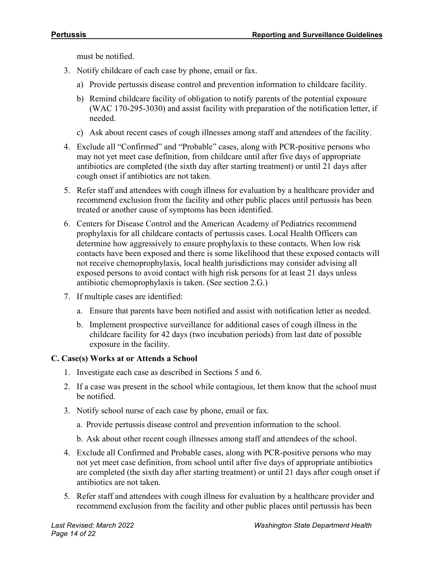must be notified.

- 3. Notify childcare of each case by phone, email or fax.
	- a) Provide pertussis disease control and prevention information to childcare facility.
	- b) Remind childcare facility of obligation to notify parents of the potential exposure (WAC 170-295-3030) and assist facility with preparation of the notification letter, if needed.
	- c) Ask about recent cases of cough illnesses among staff and attendees of the facility.
- 4. Exclude all "Confirmed" and "Probable" cases, along with PCR-positive persons who may not yet meet case definition, from childcare until after five days of appropriate antibiotics are completed (the sixth day after starting treatment) or until 21 days after cough onset if antibiotics are not taken.
- 5. Refer staff and attendees with cough illness for evaluation by a healthcare provider and recommend exclusion from the facility and other public places until pertussis has been treated or another cause of symptoms has been identified.
- 6. Centers for Disease Control and the American Academy of Pediatrics recommend prophylaxis for all childcare contacts of pertussis cases. Local Health Officers can determine how aggressively to ensure prophylaxis to these contacts. When low risk contacts have been exposed and there is some likelihood that these exposed contacts will not receive chemoprophylaxis, local health jurisdictions may consider advising all exposed persons to avoid contact with high risk persons for at least 21 days unless antibiotic chemoprophylaxis is taken. (See section 2.G.)
- 7. If multiple cases are identified:
	- a. Ensure that parents have been notified and assist with notification letter as needed.
	- b. Implement prospective surveillance for additional cases of cough illness in the childcare facility for 42 days (two incubation periods) from last date of possible exposure in the facility.

## **C. Case(s) Works at or Attends a School**

- 1. Investigate each case as described in Sections 5 and 6.
- 2. If a case was present in the school while contagious, let them know that the school must be notified.
- 3. Notify school nurse of each case by phone, email or fax.
	- a. Provide pertussis disease control and prevention information to the school.
	- b. Ask about other recent cough illnesses among staff and attendees of the school.
- 4. Exclude all Confirmed and Probable cases, along with PCR-positive persons who may not yet meet case definition, from school until after five days of appropriate antibiotics are completed (the sixth day after starting treatment) or until 21 days after cough onset if antibiotics are not taken.
- 5. Refer staff and attendees with cough illness for evaluation by a healthcare provider and recommend exclusion from the facility and other public places until pertussis has been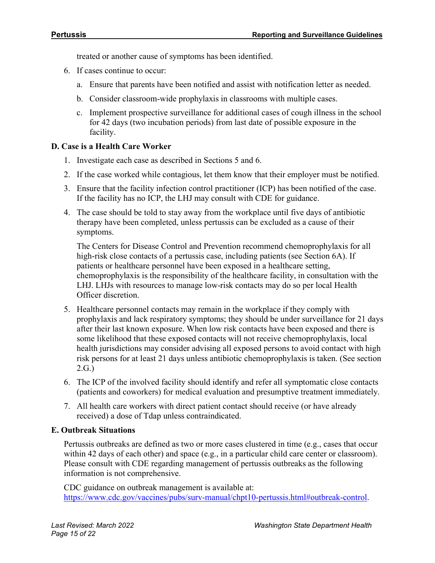treated or another cause of symptoms has been identified.

- 6. If cases continue to occur:
	- a. Ensure that parents have been notified and assist with notification letter as needed.
	- b. Consider classroom-wide prophylaxis in classrooms with multiple cases.
	- c. Implement prospective surveillance for additional cases of cough illness in the school for 42 days (two incubation periods) from last date of possible exposure in the facility.

#### **D. Case is a Health Care Worker**

- 1. Investigate each case as described in Sections 5 and 6.
- 2. If the case worked while contagious, let them know that their employer must be notified.
- 3. Ensure that the facility infection control practitioner (ICP) has been notified of the case. If the facility has no ICP, the LHJ may consult with CDE for guidance.
- 4. The case should be told to stay away from the workplace until five days of antibiotic therapy have been completed, unless pertussis can be excluded as a cause of their symptoms.

The Centers for Disease Control and Prevention recommend chemoprophylaxis for all high-risk close contacts of a pertussis case, including patients (see Section 6A). If patients or healthcare personnel have been exposed in a healthcare setting, chemoprophylaxis is the responsibility of the healthcare facility, in consultation with the LHJ. LHJs with resources to manage low-risk contacts may do so per local Health Officer discretion.

- 5. Healthcare personnel contacts may remain in the workplace if they comply with prophylaxis and lack respiratory symptoms; they should be under surveillance for 21 days after their last known exposure. When low risk contacts have been exposed and there is some likelihood that these exposed contacts will not receive chemoprophylaxis, local health jurisdictions may consider advising all exposed persons to avoid contact with high risk persons for at least 21 days unless antibiotic chemoprophylaxis is taken. (See section 2.G.)
- 6. The ICP of the involved facility should identify and refer all symptomatic close contacts (patients and coworkers) for medical evaluation and presumptive treatment immediately.
- 7. All health care workers with direct patient contact should receive (or have already received) a dose of Tdap unless contraindicated.

#### **E. Outbreak Situations**

Pertussis outbreaks are defined as two or more cases clustered in time (e.g., cases that occur within 42 days of each other) and space (e.g., in a particular child care center or classroom). Please consult with CDE regarding management of pertussis outbreaks as the following information is not comprehensive.

CDC guidance on outbreak management is available at: [https://www.cdc.gov/vaccines/pubs/surv-manual/chpt10-pertussis.html#outbreak-control.](https://www.cdc.gov/vaccines/pubs/surv-manual/chpt10-pertussis.html#outbreak-control)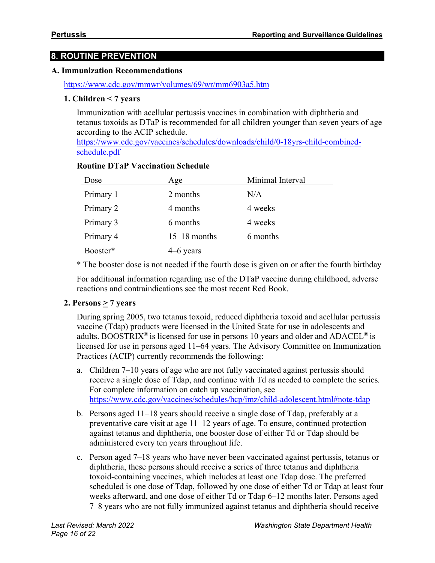# **8. ROUTINE PREVENTION**

#### **A. Immunization Recommendations**

#### <https://www.cdc.gov/mmwr/volumes/69/wr/mm6903a5.htm>

#### **1. Children < 7 years**

Immunization with acellular pertussis vaccines in combination with diphtheria and tetanus toxoids as DTaP is recommended for all children younger than seven years of age according to the ACIP schedule.

[https://www.cdc.gov/vaccines/schedules/downloads/child/0-18yrs-child-combined](https://www.cdc.gov/vaccines/schedules/downloads/child/0-18yrs-child-combined-schedule.pdf)[schedule.pdf](https://www.cdc.gov/vaccines/schedules/downloads/child/0-18yrs-child-combined-schedule.pdf)

#### **Routine DTaP Vaccination Schedule**

| Dose      | Age            | Minimal Interval |
|-----------|----------------|------------------|
| Primary 1 | 2 months       | N/A              |
| Primary 2 | 4 months       | 4 weeks          |
| Primary 3 | 6 months       | 4 weeks          |
| Primary 4 | $15-18$ months | 6 months         |
| Booster*  | $4-6$ years    |                  |

\* The booster dose is not needed if the fourth dose is given on or after the fourth birthday

For additional information regarding use of the DTaP vaccine during childhood, adverse reactions and contraindications see the most recent Red Book.

## **2. Persons**  $\geq$  **7** years

During spring 2005, two tetanus toxoid, reduced diphtheria toxoid and acellular pertussis vaccine (Tdap) products were licensed in the United State for use in adolescents and adults. BOOSTRIX<sup>®</sup> is licensed for use in persons 10 years and older and ADACEL<sup>®</sup> is licensed for use in persons aged 11–64 years. The Advisory Committee on Immunization Practices (ACIP) currently recommends the following:

- a. Children 7–10 years of age who are not fully vaccinated against pertussis should receive a single dose of Tdap, and continue with Td as needed to complete the series. For complete information on catch up vaccination, see <https://www.cdc.gov/vaccines/schedules/hcp/imz/child-adolescent.html#note-tdap>
- b. Persons aged 11–18 years should receive a single dose of Tdap, preferably at a preventative care visit at age 11–12 years of age. To ensure, continued protection against tetanus and diphtheria, one booster dose of either Td or Tdap should be administered every ten years throughout life.
- c. Person aged 7–18 years who have never been vaccinated against pertussis, tetanus or diphtheria, these persons should receive a series of three tetanus and diphtheria toxoid-containing vaccines, which includes at least one Tdap dose. The preferred scheduled is one dose of Tdap, followed by one dose of either Td or Tdap at least four weeks afterward, and one dose of either Td or Tdap 6–12 months later. Persons aged 7–8 years who are not fully immunized against tetanus and diphtheria should receive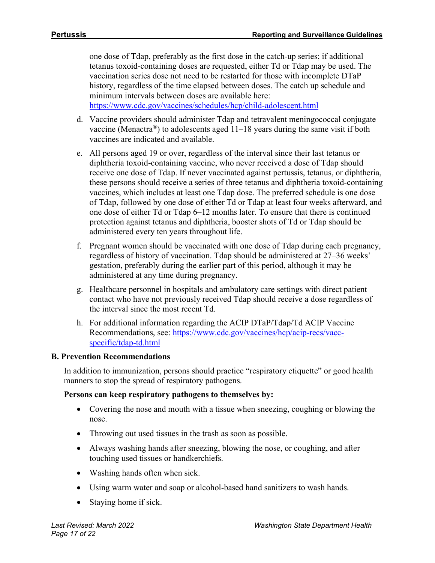one dose of Tdap, preferably as the first dose in the catch-up series; if additional tetanus toxoid-containing doses are requested, either Td or Tdap may be used. The vaccination series dose not need to be restarted for those with incomplete DTaP history, regardless of the time elapsed between doses. The catch up schedule and minimum intervals between doses are available here: <https://www.cdc.gov/vaccines/schedules/hcp/child-adolescent.html>

- d. Vaccine providers should administer Tdap and tetravalent meningococcal conjugate vaccine (Menactra<sup>®</sup>) to adolescents aged  $11-18$  years during the same visit if both vaccines are indicated and available.
- e. All persons aged 19 or over, regardless of the interval since their last tetanus or diphtheria toxoid-containing vaccine, who never received a dose of Tdap should receive one dose of Tdap. If never vaccinated against pertussis, tetanus, or diphtheria, these persons should receive a series of three tetanus and diphtheria toxoid-containing vaccines, which includes at least one Tdap dose. The preferred schedule is one dose of Tdap, followed by one dose of either Td or Tdap at least four weeks afterward, and one dose of either Td or Tdap 6–12 months later. To ensure that there is continued protection against tetanus and diphtheria, booster shots of Td or Tdap should be administered every ten years throughout life.
- f. Pregnant women should be vaccinated with one dose of Tdap during each pregnancy, regardless of history of vaccination. Tdap should be administered at 27–36 weeks' gestation, preferably during the earlier part of this period, although it may be administered at any time during pregnancy.
- g. Healthcare personnel in hospitals and ambulatory care settings with direct patient contact who have not previously received Tdap should receive a dose regardless of the interval since the most recent Td.
- h. For additional information regarding the ACIP DTaP/Tdap/Td ACIP Vaccine Recommendations, see: [https://www.cdc.gov/vaccines/hcp/acip-recs/vacc](https://www.cdc.gov/vaccines/hcp/acip-recs/vacc-specific/tdap-td.html)[specific/tdap-td.html](https://www.cdc.gov/vaccines/hcp/acip-recs/vacc-specific/tdap-td.html)

#### **B. Prevention Recommendations**

In addition to immunization, persons should practice "respiratory etiquette" or good health manners to stop the spread of respiratory pathogens.

#### **Persons can keep respiratory pathogens to themselves by:**

- Covering the nose and mouth with a tissue when sneezing, coughing or blowing the nose.
- Throwing out used tissues in the trash as soon as possible.
- Always washing hands after sneezing, blowing the nose, or coughing, and after touching used tissues or handkerchiefs.
- Washing hands often when sick.
- Using warm water and soap or alcohol-based hand sanitizers to wash hands.
- Staying home if sick.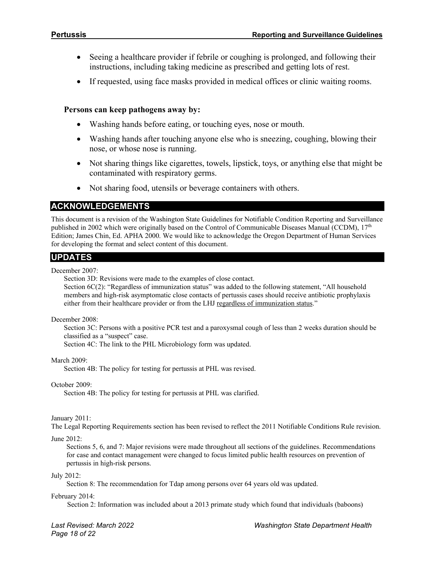- Seeing a healthcare provider if febrile or coughing is prolonged, and following their instructions, including taking medicine as prescribed and getting lots of rest.
- If requested, using face masks provided in medical offices or clinic waiting rooms.

#### **Persons can keep pathogens away by:**

- Washing hands before eating, or touching eyes, nose or mouth.
- Washing hands after touching anyone else who is sneezing, coughing, blowing their nose, or whose nose is running.
- Not sharing things like cigarettes, towels, lipstick, toys, or anything else that might be contaminated with respiratory germs.
- Not sharing food, utensils or beverage containers with others.

#### **ACKNOWLEDGEMENTS**

This document is a revision of the Washington State Guidelines for Notifiable Condition Reporting and Surveillance published in 2002 which were originally based on the Control of Communicable Diseases Manual (CCDM), 17<sup>th</sup> Edition; James Chin, Ed. APHA 2000. We would like to acknowledge the Oregon Department of Human Services for developing the format and select content of this document.

# **UPDATES**

December 2007:

Section 3D: Revisions were made to the examples of close contact.

Section 6C(2): "Regardless of immunization status" was added to the following statement, "All household members and high-risk asymptomatic close contacts of pertussis cases should receive antibiotic prophylaxis either from their healthcare provider or from the LHJ regardless of immunization status."

December 2008:

Section 3C: Persons with a positive PCR test and a paroxysmal cough of less than 2 weeks duration should be classified as a "suspect" case.

Section 4C: The link to the PHL Microbiology form was updated.

March 2009:

Section 4B: The policy for testing for pertussis at PHL was revised.

October 2009:

Section 4B: The policy for testing for pertussis at PHL was clarified.

#### January 2011:

The Legal Reporting Requirements section has been revised to reflect the 2011 Notifiable Conditions Rule revision.

#### June 2012:

Sections 5, 6, and 7: Major revisions were made throughout all sections of the guidelines. Recommendations for case and contact management were changed to focus limited public health resources on prevention of pertussis in high-risk persons.

#### July 2012:

Section 8: The recommendation for Tdap among persons over 64 years old was updated.

#### February 2014:

Section 2: Information was included about a 2013 primate study which found that individuals (baboons)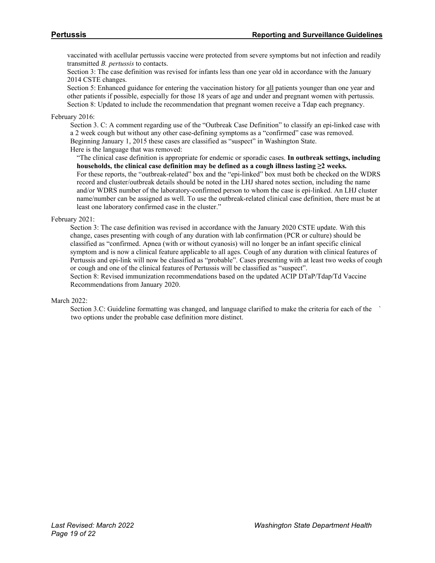vaccinated with acellular pertussis vaccine were protected from severe symptoms but not infection and readily transmitted *B. pertussis* to contacts.

Section 3: The case definition was revised for infants less than one year old in accordance with the January 2014 CSTE changes.

Section 5: Enhanced guidance for entering the vaccination history for all patients younger than one year and other patients if possible, especially for those 18 years of age and under and pregnant women with pertussis. Section 8: Updated to include the recommendation that pregnant women receive a Tdap each pregnancy.

#### February 2016:

Section 3. C: A comment regarding use of the "Outbreak Case Definition" to classify an epi-linked case with a 2 week cough but without any other case-defining symptoms as a "confirmed" case was removed. Beginning January 1, 2015 these cases are classified as "suspect" in Washington State. Here is the language that was removed:

"The clinical case definition is appropriate for endemic or sporadic cases. **In outbreak settings, including households, the clinical case definition may be defined as a cough illness lasting ≥2 weeks.**  For these reports, the "outbreak-related" box and the "epi-linked" box must both be checked on the WDRS

record and cluster/outbreak details should be noted in the LHJ shared notes section, including the name and/or WDRS number of the laboratory-confirmed person to whom the case is epi-linked. An LHJ cluster name/number can be assigned as well. To use the outbreak-related clinical case definition, there must be at least one laboratory confirmed case in the cluster."

#### February 2021:

Section 3: The case definition was revised in accordance with the January 2020 CSTE update. With this change, cases presenting with cough of any duration with lab confirmation (PCR or culture) should be classified as "confirmed. Apnea (with or without cyanosis) will no longer be an infant specific clinical symptom and is now a clinical feature applicable to all ages. Cough of any duration with clinical features of Pertussis and epi-link will now be classified as "probable". Cases presenting with at least two weeks of cough or cough and one of the clinical features of Pertussis will be classified as "suspect".

Section 8: Revised immunization recommendations based on the updated ACIP DTaP/Tdap/Td Vaccine Recommendations from January 2020.

#### March 2022:

Section 3.C: Guideline formatting was changed, and language clarified to make the criteria for each of the ` two options under the probable case definition more distinct.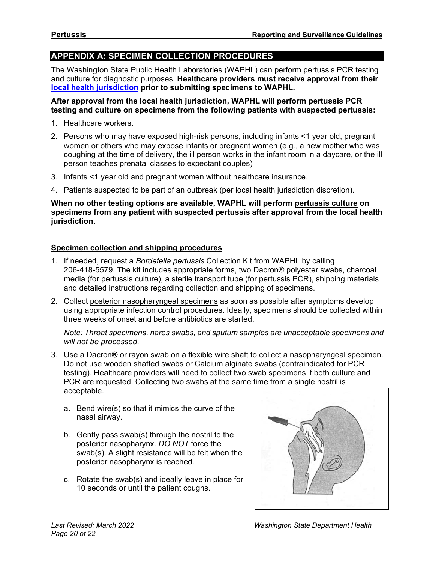# **APPENDIX A: SPECIMEN COLLECTION PROCEDURES**

The Washington State Public Health Laboratories (WAPHL) can perform pertussis PCR testing and culture for diagnostic purposes. **Healthcare providers must receive approval from their [local health jurisdiction](https://www.doh.wa.gov/AboutUs/PublicHealthSystem/LocalHealthJurisdictions) prior to submitting specimens to WAPHL.**

#### **After approval from the local health jurisdiction, WAPHL will perform pertussis PCR testing and culture on specimens from the following patients with suspected pertussis:**

- 1. Healthcare workers.
- 2. Persons who may have exposed high-risk persons, including infants <1 year old, pregnant women or others who may expose infants or pregnant women (e.g., a new mother who was coughing at the time of delivery, the ill person works in the infant room in a daycare, or the ill person teaches prenatal classes to expectant couples)
- 3. Infants <1 year old and pregnant women without healthcare insurance.
- 4. Patients suspected to be part of an outbreak (per local health jurisdiction discretion).

#### **When no other testing options are available, WAPHL will perform pertussis culture on specimens from any patient with suspected pertussis after approval from the local health jurisdiction.**

#### **Specimen collection and shipping procedures**

- 1. If needed, request a *Bordetella pertussis* Collection Kit from WAPHL by calling 206-418-5579. The kit includes appropriate forms, two Dacron® polyester swabs, charcoal media (for pertussis culture), a sterile transport tube (for pertussis PCR), shipping materials and detailed instructions regarding collection and shipping of specimens.
- 2. Collect posterior nasopharyngeal specimens as soon as possible after symptoms develop using appropriate infection control procedures. Ideally, specimens should be collected within three weeks of onset and before antibiotics are started.

*Note: Throat specimens, nares swabs, and sputum samples are unacceptable specimens and will not be processed.*

- 3. Use a Dacron**®** or rayon swab on a flexible wire shaft to collect a nasopharyngeal specimen. Do not use wooden shafted swabs or Calcium alginate swabs (contraindicated for PCR testing). Healthcare providers will need to collect two swab specimens if both culture and PCR are requested. Collecting two swabs at the same time from a single nostril is acceptable.
	- a. Bend wire(s) so that it mimics the curve of the nasal airway.
	- b. Gently pass swab(s) through the nostril to the posterior nasopharynx. *DO NOT* force the swab(s). A slight resistance will be felt when the posterior nasopharynx is reached.
	- c. Rotate the swab(s) and ideally leave in place for 10 seconds or until the patient coughs.

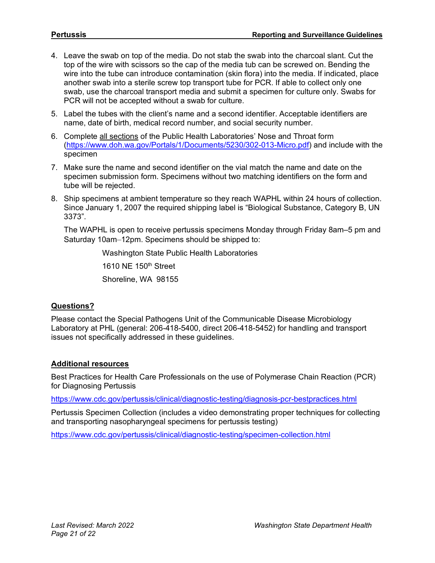- 4. Leave the swab on top of the media. Do not stab the swab into the charcoal slant. Cut the top of the wire with scissors so the cap of the media tub can be screwed on. Bending the wire into the tube can introduce contamination (skin flora) into the media. If indicated, place another swab into a sterile screw top transport tube for PCR. If able to collect only one swab, use the charcoal transport media and submit a specimen for culture only. Swabs for PCR will not be accepted without a swab for culture.
- 5. Label the tubes with the client's name and a second identifier. Acceptable identifiers are name, date of birth, medical record number, and social security number.
- 6. Complete all sections of the Public Health Laboratories' Nose and Throat form [\(https://www.doh.wa.gov/Portals/1/Documents/5230/302-013-Micro.pdf\)](https://www.doh.wa.gov/Portals/1/Documents/5230/302-013-Micro.pdf) and include with the specimen
- 7. Make sure the name and second identifier on the vial match the name and date on the specimen submission form. Specimens without two matching identifiers on the form and tube will be rejected.
- 8. Ship specimens at ambient temperature so they reach WAPHL within 24 hours of collection. Since January 1, 2007 the required shipping label is "Biological Substance, Category B, UN 3373".

The WAPHL is open to receive pertussis specimens Monday through Friday 8am–5 pm and Saturday 10am–12pm. Specimens should be shipped to:

Washington State Public Health Laboratories 1610 NE 150<sup>th</sup> Street Shoreline, WA 98155

## **Questions?**

Please contact the Special Pathogens Unit of the Communicable Disease Microbiology Laboratory at PHL (general: 206-418-5400, direct 206-418-5452) for handling and transport issues not specifically addressed in these guidelines.

#### **Additional resources**

Best Practices for Health Care Professionals on the use of Polymerase Chain Reaction (PCR) for Diagnosing Pertussis

<https://www.cdc.gov/pertussis/clinical/diagnostic-testing/diagnosis-pcr-bestpractices.html>

Pertussis Specimen Collection (includes a video demonstrating proper techniques for collecting and transporting nasopharyngeal specimens for pertussis testing)

<https://www.cdc.gov/pertussis/clinical/diagnostic-testing/specimen-collection.html>